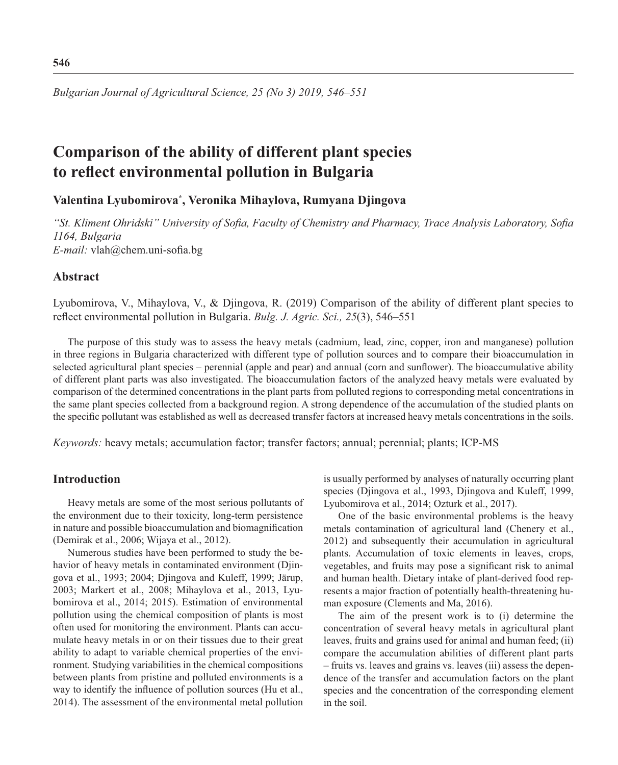*Bulgarian Journal of Agricultural Science, 25 (No 3) 2019, 546–551*

# **Comparison of the ability of different plant species**  to reflect environmental pollution in Bulgaria

# **Valentina Lyubomirova\* , Veronika Mihaylova, Rumyana Djingova**

"St. Kliment Ohridski" University of Sofia, Faculty of Chemistry and Pharmacy, Trace Analysis Laboratory, Sofia *1164, Bulgaria E-mail:* vlah@chem.uni-sofia.bg

# **Abstract**

Lyubomirova, V., Mihaylova, V., & Djingova, R. (2019) Comparison of the ability of different plant species to reflect environmental pollution in Bulgaria. *Bulg. J. Agric. Sci.*, 25(3), 546–551

The purpose of this study was to assess the heavy metals (cadmium, lead, zinc, copper, iron and manganese) pollution in three regions in Bulgaria characterized with different type of pollution sources and to compare their bioaccumulation in selected agricultural plant species – perennial (apple and pear) and annual (corn and sunflower). The bioaccumulative ability of different plant parts was also investigated. The bioaccumulation factors of the analyzed heavy metals were evaluated by comparison of the determined concentrations in the plant parts from polluted regions to corresponding metal concentrations in the same plant species collected from a background region. A strong dependence of the accumulation of the studied plants on the specifi c pollutant was established as well as decreased transfer factors at increased heavy metals concentrations in the soils.

*Keywords:* heavy metals; accumulation factor; transfer factors; annual; perennial; plants; ICP-MS

### **Introduction**

Heavy metals are some of the most serious pollutants of the environment due to their toxicity, long-term persistence in nature and possible bioaccumulation and biomagnification (Demirak et al., 2006; Wijaya et al., 2012).

Numerous studies have been performed to study the behavior of heavy metals in contaminated environment (Djingova et al., 1993; 2004; Djingova and Kuleff, 1999; Järup, 2003; Markert et al., 2008; Mihaylova et al., 2013, Lyubomirova et al., 2014; 2015). Estimation of environmental pollution using the chemical composition of plants is most often used for monitoring the environment. Plants can accumulate heavy metals in or on their tissues due to their great ability to adapt to variable chemical properties of the environment. Studying variabilities in the chemical compositions between plants from pristine and polluted environments is a way to identify the influence of pollution sources (Hu et al., 2014). The assessment of the environmental metal pollution is usually performed by analyses of naturally occurring plant species (Djingova et al., 1993, Djingova and Kuleff, 1999, Lyubomirova et al., 2014; Ozturk et al., 2017).

One of the basic environmental problems is the heavy metals contamination of agricultural land (Chenery et al., 2012) and subsequently their accumulation in agricultural plants. Accumulation of toxic elements in leaves, crops, vegetables, and fruits may pose a significant risk to animal and human health. Dietary intake of plant-derived food represents a major fraction of potentially health-threatening human exposure (Clements and Ma, 2016).

The aim of the present work is to (i) determine the concentration of several heavy metals in agricultural plant leaves, fruits and grains used for animal and human feed; (ii) compare the accumulation abilities of different plant parts – fruits vs. leaves and grains vs. leaves (iii) assess the dependence of the transfer and accumulation factors on the plant species and the concentration of the corresponding element in the soil.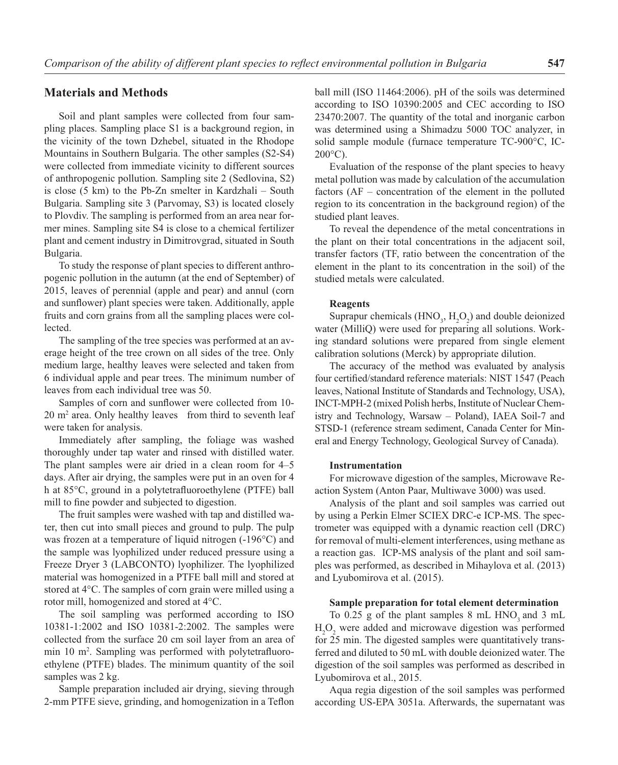## **Materials and Methods**

Soil and plant samples were collected from four sampling places. Sampling place S1 is a background region, in the vicinity of the town Dzhebel, situated in the Rhodope Mountains in Southern Bulgaria. The other samples (S2-S4) were collected from immediate vicinity to different sources of anthropogenic pollution. Sampling site 2 (Sedlovina, S2) is close (5 km) to the Pb-Zn smelter in Kardzhali – South Bulgaria. Sampling site 3 (Parvomay, S3) is located closely to Plovdiv. The sampling is performed from an area near former mines. Sampling site S4 is close to a chemical fertilizer plant and cement industry in Dimitrovgrad, situated in South Bulgaria.

To study the response of plant species to different anthropogenic pollution in the autumn (at the end of September) of 2015, leaves of perennial (apple and pear) and annul (corn and sunflower) plant species were taken. Additionally, apple fruits and corn grains from all the sampling places were collected.

The sampling of the tree species was performed at an average height of the tree crown on all sides of the tree. Only medium large, healthy leaves were selected and taken from 6 individual apple and pear trees. The minimum number of leaves from each individual tree was 50.

Samples of corn and sunflower were collected from 10-20 m2 area. Only healthy leaves from third to seventh leaf were taken for analysis.

Immediately after sampling, the foliage was washed thoroughly under tap water and rinsed with distilled water. The plant samples were air dried in a clean room for 4–5 days. After air drying, the samples were put in an oven for 4 h at 85°C, ground in a polytetrafluoroethylene (PTFE) ball mill to fine powder and subjected to digestion.

The fruit samples were washed with tap and distilled water, then cut into small pieces and ground to pulp. The pulp was frozen at a temperature of liquid nitrogen (-196°C) and the sample was lyophilized under reduced pressure using a Freeze Dryer 3 (LABCONTO) lyophilizer. The lyophilized material was homogenized in a PTFE ball mill and stored at stored at 4°С. The samples of corn grain were milled using a rotor mill, homogenized and stored at 4°С.

The soil sampling was performed according to ISO 10381-1:2002 and ISO 10381-2:2002. The samples were collected from the surface 20 cm soil layer from an area of min 10 m<sup>2</sup>. Sampling was performed with polytetrafluoroethylene (PTFE) blades. The minimum quantity of the soil samples was 2 kg.

Sample preparation included air drying, sieving through 2-mm PTFE sieve, grinding, and homogenization in a Teflon ball mill (ISO 11464:2006). pH of the soils was determined according to ISO 10390:2005 and CEC according to ISO 23470:2007. The quantity of the total and inorganic carbon was determined using a Shimadzu 5000 TOC analyzer, in solid sample module (furnace temperature TC-900°C, IC- $200^{\circ}$ C).

Evaluation of the response of the plant species to heavy metal pollution was made by calculation of the accumulation factors (AF – concentration of the element in the polluted region to its concentration in the background region) of the studied plant leaves.

To reveal the dependence of the metal concentrations in the plant on their total concentrations in the adjacent soil, transfer factors (TF, ratio between the concentration of the element in the plant to its concentration in the soil) of the studied metals were calculated.

#### **Reagents**

Suprapur chemicals  $(HNO<sub>3</sub>, H<sub>2</sub>O<sub>2</sub>)$  and double deionized water (MilliQ) were used for preparing all solutions. Working standard solutions were prepared from single element calibration solutions (Merck) by appropriate dilution.

The accuracy of the method was evaluated by analysis four certified/standard reference materials: NIST 1547 (Peach leaves, National Institute of Standards and Technology, USA), INCT-MPH-2 (mixed Polish herbs, Institute of Nuclear Chemistry and Technology, Warsaw – Poland), IAEA Soil-7 and STSD-1 (reference stream sediment, Canada Center for Mineral and Energy Technology, Geological Survey of Canada).

#### **Instrumentation**

For microwave digestion of the samples, Microwave Reaction System (Anton Paar, Multiwave 3000) was used.

Analysis of the plant and soil samples was carried out by using a Perkin Elmer SCIEX DRC-e ICP-MS. The spectrometer was equipped with a dynamic reaction cell (DRC) for removal of multi-element interferences, using methane as a reaction gas. ICP-MS analysis of the plant and soil samples was performed, as described in Mihaylova et al. (2013) and Lyubomirova et al. (2015).

#### **Sample preparation for total element determination**

To  $0.25$  g of the plant samples 8 mL HNO<sub>3</sub> and 3 mL  $H_2O_2$  were added and microwave digestion was performed for 25 min. The digested samples were quantitatively transferred and diluted to 50 mL with double deionized water. The digestion of the soil samples was performed as described in Lyubomirova et al., 2015.

Aqua regia digestion of the soil samples was performed according US-EPA 3051a. Afterwards, the supernatant was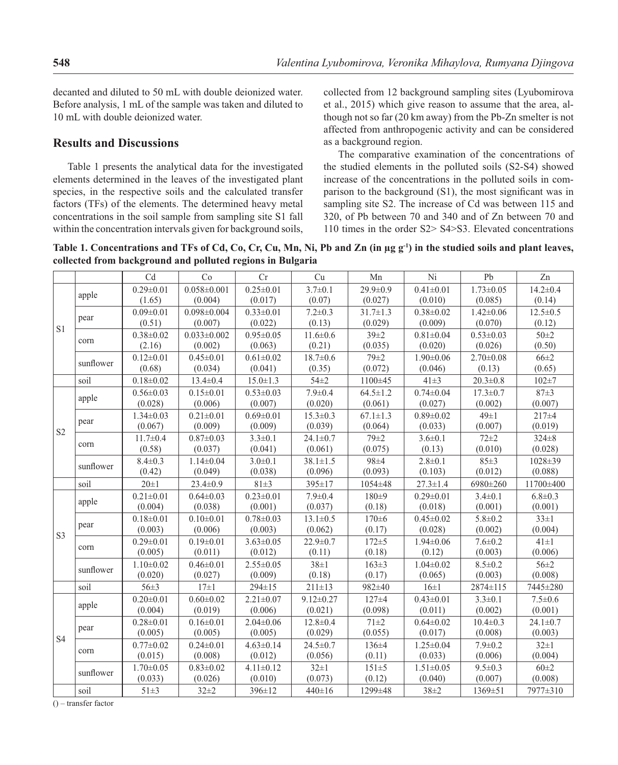decanted and diluted to 50 mL with double deionized water. Before analysis, 1 mL of the sample was taken and diluted to 10 mL with double deionized water.

# **Results and Discussions**

Table 1 presents the analytical data for the investigated elements determined in the leaves of the investigated plant species, in the respective soils and the calculated transfer factors (TFs) of the elements. The determined heavy metal concentrations in the soil sample from sampling site S1 fall within the concentration intervals given for background soils, collected from 12 background sampling sites (Lyubomirova et al., 2015) which give reason to assume that the area, although not so far (20 km away) from the Pb-Zn smelter is not affected from anthropogenic activity and can be considered as a background region.

The comparative examination of the concentrations of the studied elements in the polluted soils (S2-S4) showed increase of the concentrations in the polluted soils in comparison to the background  $(S1)$ , the most significant was in sampling site S2. The increase of Cd was between 115 and 320, of Pb between 70 and 340 and of Zn between 70 and 110 times in the order S2> S4>S3. Elevated concentrations

**Table 1. Concentrations and TFs of Cd, Co, Cr, Cu, Mn, Ni, Pb and Zn (in μg g-1) in the studied soils and plant leaves, collected from background and polluted regions in Bulgaria**

|                |                   | C <sub>d</sub>             | Co                           | Cr                         | Cu                        | Mn                        | Ni                         | Pb                         | Zn                       |
|----------------|-------------------|----------------------------|------------------------------|----------------------------|---------------------------|---------------------------|----------------------------|----------------------------|--------------------------|
| S <sub>1</sub> | apple             | $0.29 \pm 0.01$<br>(1.65)  | $0.058 \pm 0.001$<br>(0.004) | $0.25 \pm 0.01$<br>(0.017) | $3.7 \pm 0.1$<br>(0.07)   | $29.9 \pm 0.9$<br>(0.027) | $0.41 \pm 0.01$<br>(0.010) | $1.73 \pm 0.05$<br>(0.085) | $14.2 \pm 0.4$<br>(0.14) |
|                | pear              | $0.09 \pm 0.01$            | $0.098 \pm 0.004$            | $0.33 \pm 0.01$            | $7.2 \pm 0.3$             | $31.7 \pm 1.3$            | $0.38 \pm 0.02$            | $1.42 \pm 0.06$            | $12.5 \pm 0.5$           |
|                |                   | (0.51)                     | (0.007)                      | (0.022)                    | (0.13)                    | (0.029)                   | (0.009)                    | (0.070)                    | (0.12)                   |
|                | corn<br>sunflower | $0.38 + 0.02$<br>(2.16)    | $0.033 \pm 0.002$<br>(0.002) | $0.95 \pm 0.05$<br>(0.063) | $11.6 \pm 0.6$<br>(0.21)  | $39 + 2$<br>(0.035)       | $0.81 \pm 0.04$<br>(0.020) | $0.53 \pm 0.03$<br>(0.026) | $50 + 2$<br>(0.50)       |
|                |                   | $0.12 \pm 0.01$            | $0.45 \pm 0.01$              | $0.61 \pm 0.02$            | $18.7 \pm 0.6$            | $79 + 2$                  | $1.90 \pm 0.06$            | $2.70 \pm 0.08$            | $66 \pm 2$               |
|                |                   | (0.68)                     | (0.034)                      | (0.041)                    | (0.35)                    | (0.072)                   | (0.046)                    | (0.13)                     | (0.65)                   |
|                | soil              | $0.18 \pm 0.02$            | $13.4 \pm 0.4$               | $15.0 \pm 1.3$             | $54 \pm 2$                | 1100±45                   | $41\pm3$                   | $20.3 \pm 0.8$             | $102 + 7$                |
| S <sub>2</sub> | apple             | $0.56 \pm 0.03$            | $0.15 \pm 0.01$              | $0.53 \pm 0.03$            | $7.9 \pm 0.4$             | $64.5 \pm 1.2$            | $0.74 \pm 0.04$            | $17.3 \pm 0.7$             | $87 + 3$                 |
|                |                   | (0.028)                    | (0.006)                      | (0.007)                    | (0.020)                   | (0.061)                   | (0.027)                    | (0.002)                    | (0.007)                  |
|                | pear              | $1.34 \pm 0.03$<br>(0.067) | $0.21 \pm 0.01$<br>(0.009)   | $0.69 \pm 0.01$<br>(0.009) | $15.3 \pm 0.3$<br>(0.039) | $67.1 \pm 1.3$<br>(0.064) | $0.89 \pm 0.02$<br>(0.033) | $49\pm1$<br>(0.007)        | $217 + 4$<br>(0.019)     |
|                | corn              | $11.7 \pm 0.4$             | $0.87 \pm 0.03$              | $3.3 \pm 0.1$              | $24.1 \pm 0.7$            | $79\pm2$                  | $3.6 \pm 0.1$              | $72 + 2$                   | $324 \pm 8$              |
|                |                   | (0.58)                     | (0.037)                      | (0.041)                    | (0.061)                   | (0.075)                   | (0.13)                     | (0.010)                    | (0.028)                  |
|                | sunflower         | $8.4 \pm 0.3$              | $1.14 \pm 0.04$              | $3.0 \pm 0.1$              | $38.1 \pm 1.5$            | 98±4                      | $2.8 \pm 0.1$              | 85±3                       | $1028 \pm 39$            |
|                |                   | (0.42)                     | (0.049)                      | (0.038)                    | (0.096)                   | (0.093)                   | (0.103)                    | (0.012)                    | (0.088)                  |
|                | soil              | $20\pm1$                   | $23.4 \pm 0.9$               | $81 + 3$                   | 395±17                    | 1054±48                   | $27.3 \pm 1.4$             | 6980±260                   | 11700±400                |
| S <sub>3</sub> | apple             | $0.21 \pm 0.01$            | $0.64 \pm 0.03$              | $0.23 \pm 0.01$            | $7.9 \pm 0.4$             | 180±9                     | $0.29 \pm 0.01$            | $3.4 \pm 0.1$              | $6.8 \pm 0.3$            |
|                |                   | (0.004)                    | (0.038)                      | (0.001)                    | (0.037)                   | (0.18)                    | (0.018)                    | (0.001)                    | (0.001)                  |
|                | pear              | $0.18 \pm 0.01$            | $0.10 \pm 0.01$              | $0.78 \pm 0.03$            | $13.1 \pm 0.5$            | $170 \pm 6$               | $0.45 \pm 0.02$            | $5.8 \pm 0.2$              | $33 \pm 1$               |
|                |                   | (0.003)                    | (0.006)                      | (0.003)                    | (0.062)                   | (0.17)                    | (0.028)                    | (0.002)                    | (0.004)                  |
|                | corn              | $0.29 \pm 0.01$            | $0.19 \pm 0.01$              | $3.63 \pm 0.05$            | $22.9 \pm 0.7$            | $172 + 5$                 | $1.94 \pm 0.06$            | $7.6 \pm 0.2$              | $41\pm1$                 |
|                |                   | (0.005)                    | (0.011)                      | (0.012)                    | (0.11)                    | (0.18)                    | (0.12)                     | (0.003)                    | (0.006)                  |
|                | sunflower         | $1.10 \pm 0.02$<br>(0.020) | $0.46 \pm 0.01$<br>(0.027)   | $2.55 \pm 0.05$<br>(0.009) | $38 \pm 1$<br>(0.18)      | $163 \pm 3$<br>(0.17)     | $1.04 \pm 0.02$<br>(0.065) | $8.5 \pm 0.2$<br>(0.003)   | $56 \pm 2$<br>(0.008)    |
|                | soil              | $56 \pm 3$                 | $17\pm1$                     | 294±15                     | $211 \pm 13$              | 982±40                    | $16\pm1$                   | 2874±115                   | 7445±280                 |
|                | apple             | $0.20 \pm 0.01$            | $0.60 \pm 0.02$              | $2.21 \pm 0.07$            | $9.12 \pm 0.27$           | $127 + 4$                 | $0.43 \pm 0.01$            | $3.3 \pm 0.1$              | $7.5 \pm 0.6$            |
|                |                   | (0.004)                    | (0.019)                      | (0.006)                    | (0.021)                   | (0.098)                   | (0.011)                    | (0.002)                    | (0.001)                  |
| <b>S4</b>      | pear              | $0.28 \pm 0.01$            | $0.16 \pm 0.01$              | $2.04 \pm 0.06$            | $12.8 \pm 0.4$            | $71 + 2$                  | $0.64\pm0.02$              | $10.4 \pm 0.3$             | $24.1 \pm 0.7$           |
|                |                   | (0.005)                    | (0.005)                      | (0.005)                    | (0.029)                   | (0.055)                   | (0.017)                    | (0.008)                    | (0.003)                  |
|                | corn              | $0.77 \pm 0.02$            | $0.24 \pm 0.01$              | $4.63 \pm 0.14$            | $24.5 \pm 0.7$            | $136 \pm 4$               | $1.25 \pm 0.04$            | $7.9 \pm 0.2$              | $32 \pm 1$               |
|                |                   | (0.015)                    | (0.008)                      | (0.012)                    | (0.056)                   | (0.11)                    | (0.033)                    | (0.006)                    | (0.004)                  |
|                | sunflower         | $1.70 \pm 0.05$            | $0.83 \pm 0.02$              | $4.11 \pm 0.12$            | $32 \pm 1$                | $151 \pm 5$               | $1.51 \pm 0.05$            | $9.5 \pm 0.3$              | 60±2                     |
|                |                   | (0.033)                    | (0.026)                      | (0.010)                    | (0.073)                   | (0.12)                    | (0.040)                    | (0.007)                    | (0.008)                  |
|                | soil              | $51 \pm 3$                 | $32 + 2$                     | $396 \pm 12$               | $440 \pm 16$              | 1299±48                   | $38 + 2$                   | 1369±51                    | 7977±310                 |

() – transfer factor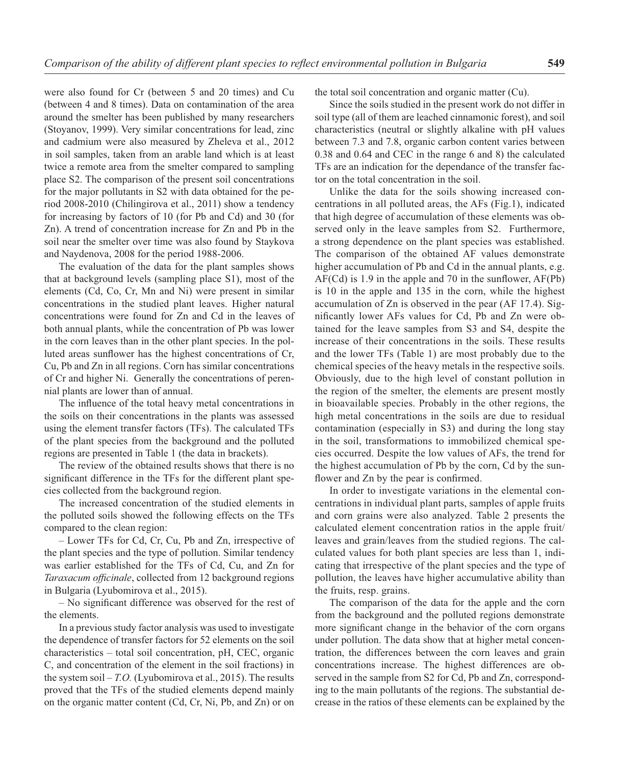were also found for Cr (between 5 and 20 times) and Cu (between 4 and 8 times). Data on contamination of the area around the smelter has been published by many researchers (Stoyanov, 1999). Very similar concentrations for lead, zinc and cadmium were also measured by Zheleva et al., 2012 in soil samples, taken from an arable land which is at least twice a remote area from the smelter compared to sampling place S2. The comparison of the present soil concentrations for the major pollutants in S2 with data obtained for the period 2008-2010 (Chilingirova et al., 2011) show a tendency for increasing by factors of 10 (for Pb and Cd) and 30 (for Zn). A trend of concentration increase for Zn and Pb in the soil near the smelter over time was also found by Staykova and Naydenova, 2008 for the period 1988-2006.

The evaluation of the data for the plant samples shows that at background levels (sampling place S1), most of the elements (Cd, Co, Cr, Mn and Ni) were present in similar concentrations in the studied plant leaves. Higher natural concentrations were found for Zn and Cd in the leaves of both annual plants, while the concentration of Pb was lower in the corn leaves than in the other plant species. In the polluted areas sunflower has the highest concentrations of Cr, Cu, Pb and Zn in all regions. Corn has similar concentrations of Cr and higher Ni. Generally the concentrations of perennial plants are lower than of annual.

The influence of the total heavy metal concentrations in the soils on their concentrations in the plants was assessed using the element transfer factors (TFs). The calculated TFs of the plant species from the background and the polluted regions are presented in Table 1 (the data in brackets).

The review of the obtained results shows that there is no significant difference in the TFs for the different plant species collected from the background region.

The increased concentration of the studied elements in the polluted soils showed the following effects on the TFs compared to the clean region:

– Lower TFs for Cd, Cr, Cu, Pb and Zn, irrespective of the plant species and the type of pollution. Similar tendency was earlier established for the TFs of Cd, Cu, and Zn for *Taraxacum officinale*, collected from 12 background regions in Bulgaria (Lyubomirova et al., 2015).

 $-$  No significant difference was observed for the rest of the elements.

In a previous study factor analysis was used to investigate the dependence of transfer factors for 52 elements on the soil characteristics – total soil concentration, pH, CEC, organic C, and concentration of the element in the soil fractions) in the system soil – *T.O.* (Lyubomirova et al., 2015). The results proved that the TFs of the studied elements depend mainly on the organic matter content (Cd, Cr, Ni, Pb, and Zn) or on the total soil concentration and organic matter (Cu).

Since the soils studied in the present work do not differ in soil type (all of them are leached cinnamonic forest), and soil characteristics (neutral or slightly alkaline with pH values between 7.3 and 7.8, organic carbon content varies between 0.38 and 0.64 and CEC in the range 6 and 8) the calculated TFs are an indication for the dependance of the transfer factor on the total concentration in the soil.

Unlike the data for the soils showing increased concentrations in all polluted areas, the AFs (Fig.1), indicated that high degree of accumulation of these elements was observed only in the leave samples from S2. Furthermore, a strong dependence on the plant species was established. The comparison of the obtained AF values demonstrate higher accumulation of Pb and Cd in the annual plants, e.g.  $AF(Cd)$  is 1.9 in the apple and 70 in the sunflower,  $AF(Pb)$ is 10 in the apple and 135 in the corn, while the highest accumulation of Zn is observed in the pear (AF 17.4). Significantly lower AFs values for Cd, Pb and Zn were obtained for the leave samples from S3 and S4, despite the increase of their concentrations in the soils. These results and the lower TFs (Table 1) are most probably due to the chemical species of the heavy metals in the respective soils. Obviously, due to the high level of constant pollution in the region of the smelter, the elements are present mostly in bioavailable species. Probably in the other regions, the high metal concentrations in the soils are due to residual contamination (especially in S3) and during the long stay in the soil, transformations to immobilized chemical species occurred. Despite the low values of AFs, the trend for the highest accumulation of Pb by the corn, Cd by the sunflower and Zn by the pear is confirmed.

In order to investigate variations in the elemental concentrations in individual plant parts, samples of apple fruits and corn grains were also analyzed. Table 2 presents the calculated element concentration ratios in the apple fruit/ leaves and grain/leaves from the studied regions. The calculated values for both plant species are less than 1, indicating that irrespective of the plant species and the type of pollution, the leaves have higher accumulative ability than the fruits, resp. grains.

The comparison of the data for the apple and the corn from the background and the polluted regions demonstrate more significant change in the behavior of the corn organs under pollution. The data show that at higher metal concentration, the differences between the corn leaves and grain concentrations increase. The highest differences are observed in the sample from S2 for Cd, Pb and Zn, corresponding to the main pollutants of the regions. The substantial decrease in the ratios of these elements can be explained by the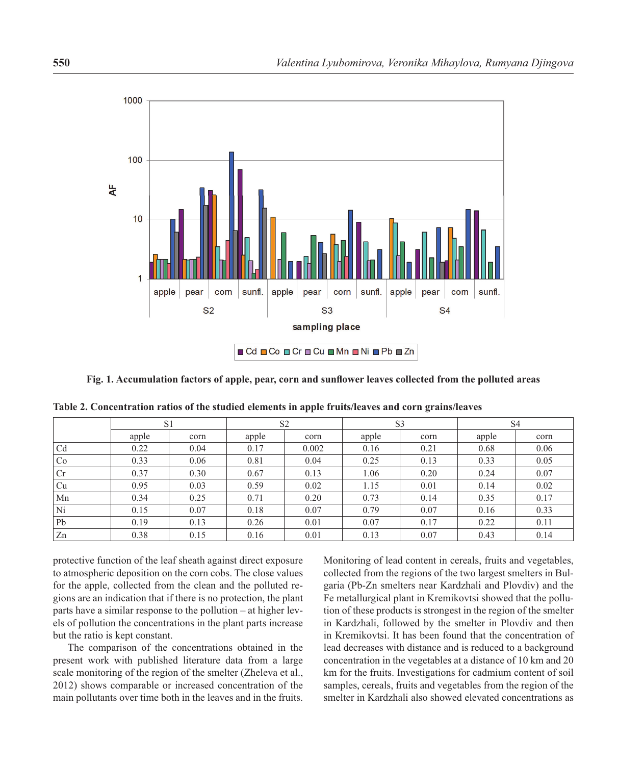

Fig. 1. Accumulation factors of apple, pear, corn and sunflower leaves collected from the polluted areas

|                | S <sub>1</sub> |      | S <sub>2</sub> |       | S <sub>3</sub> |      | S <sub>4</sub> |      |
|----------------|----------------|------|----------------|-------|----------------|------|----------------|------|
|                | apple          | corn | apple          | corn  | apple          | corn | apple          | corn |
| C <sub>d</sub> | 0.22           | 0.04 | 0.17           | 0.002 | 0.16           | 0.21 | 0.68           | 0.06 |
| Co             | 0.33           | 0.06 | 0.81           | 0.04  | 0.25           | 0.13 | 0.33           | 0.05 |
| Cr             | 0.37           | 0.30 | 0.67           | 0.13  | 1.06           | 0.20 | 0.24           | 0.07 |
| Cu             | 0.95           | 0.03 | 0.59           | 0.02  | 1.15           | 0.01 | 0.14           | 0.02 |
| Mn             | 0.34           | 0.25 | 0.71           | 0.20  | 0.73           | 0.14 | 0.35           | 0.17 |
| Ni             | 0.15           | 0.07 | 0.18           | 0.07  | 0.79           | 0.07 | 0.16           | 0.33 |
| Pb             | 0.19           | 0.13 | 0.26           | 0.01  | 0.07           | 0.17 | 0.22           | 0.11 |
| Zn             | 0.38           | 0.15 | 0.16           | 0.01  | 0.13           | 0.07 | 0.43           | 0.14 |

**Table 2. Concentration ratios of the studied elements in apple fruits/leaves and corn grains/leaves**

protective function of the leaf sheath against direct exposure to atmospheric deposition on the corn cobs. The close values for the apple, collected from the clean and the polluted regions are an indication that if there is no protection, the plant parts have a similar response to the pollution – at higher levels of pollution the concentrations in the plant parts increase but the ratio is kept constant.

The comparison of the concentrations obtained in the present work with published literature data from a large scale monitoring of the region of the smelter (Zheleva et al., 2012) shows comparable or increased concentration of the main pollutants over time both in the leaves and in the fruits.

Monitoring of lead content in cereals, fruits and vegetables, collected from the regions of the two largest smelters in Bulgaria (Pb-Zn smelters near Kardzhali and Plovdiv) and the Fe metallurgical plant in Kremikovtsi showed that the pollution of these products is strongest in the region of the smelter in Kardzhali, followed by the smelter in Plovdiv and then in Kremikovtsi. It has been found that the concentration of lead decreases with distance and is reduced to a background concentration in the vegetables at a distance of 10 km and 20 km for the fruits. Investigations for cadmium content of soil samples, cereals, fruits and vegetables from the region of the smelter in Kardzhali also showed elevated concentrations as